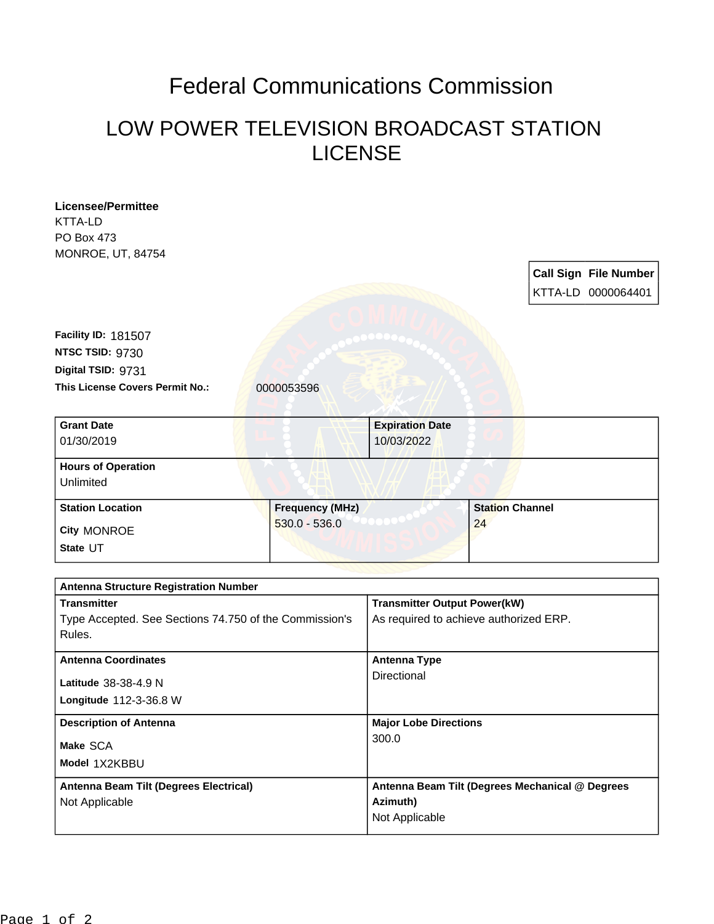## Federal Communications Commission

## LOW POWER TELEVISION BROADCAST STATION LICENSE

| <b>Licensee/Permittee</b>                              |                        |                                                 |                        |  |                              |
|--------------------------------------------------------|------------------------|-------------------------------------------------|------------------------|--|------------------------------|
| KTTA-LD                                                |                        |                                                 |                        |  |                              |
| PO Box 473                                             |                        |                                                 |                        |  |                              |
| MONROE, UT, 84754                                      |                        |                                                 |                        |  |                              |
|                                                        |                        |                                                 |                        |  | <b>Call Sign File Number</b> |
|                                                        |                        |                                                 |                        |  | KTTA-LD 0000064401           |
|                                                        |                        |                                                 |                        |  |                              |
| <b>Facility ID: 181507</b>                             |                        |                                                 |                        |  |                              |
| NTSC TSID: 9730                                        |                        |                                                 |                        |  |                              |
| Digital TSID: 9731                                     |                        |                                                 |                        |  |                              |
| This License Covers Permit No.:                        | 0000053596             |                                                 |                        |  |                              |
|                                                        |                        |                                                 |                        |  |                              |
| <b>Grant Date</b>                                      |                        | <b>Expiration Date</b>                          |                        |  |                              |
| 01/30/2019                                             |                        | 10/03/2022                                      |                        |  |                              |
|                                                        |                        |                                                 |                        |  |                              |
| <b>Hours of Operation</b>                              |                        |                                                 |                        |  |                              |
| Unlimited                                              |                        |                                                 |                        |  |                              |
| <b>Station Location</b>                                | <b>Frequency (MHz)</b> |                                                 | <b>Station Channel</b> |  |                              |
| <b>City MONROE</b>                                     | $530.0 - 536.0$        |                                                 | 24                     |  |                              |
| State UT                                               |                        |                                                 |                        |  |                              |
|                                                        |                        |                                                 |                        |  |                              |
| <b>Antenna Structure Registration Number</b>           |                        |                                                 |                        |  |                              |
| <b>Transmitter</b>                                     |                        | <b>Transmitter Output Power(kW)</b>             |                        |  |                              |
| Type Accepted. See Sections 74.750 of the Commission's |                        | As required to achieve authorized ERP.          |                        |  |                              |
| Rules.                                                 |                        |                                                 |                        |  |                              |
|                                                        |                        |                                                 |                        |  |                              |
| <b>Antenna Coordinates</b>                             |                        | <b>Antenna Type</b>                             |                        |  |                              |
| Latitude 38-38-4.9 N                                   |                        | Directional                                     |                        |  |                              |
| Longitude 112-3-36.8 W                                 |                        |                                                 |                        |  |                              |
| <b>Description of Antenna</b>                          |                        | <b>Major Lobe Directions</b>                    |                        |  |                              |
| Make SCA                                               |                        | 300.0                                           |                        |  |                              |
| Model 1X2KBBU                                          |                        |                                                 |                        |  |                              |
|                                                        |                        |                                                 |                        |  |                              |
| Antenna Beam Tilt (Degrees Electrical)                 |                        | Antenna Beam Tilt (Degrees Mechanical @ Degrees |                        |  |                              |
| Not Applicable                                         |                        | Azimuth)                                        |                        |  |                              |
|                                                        |                        | Not Applicable                                  |                        |  |                              |